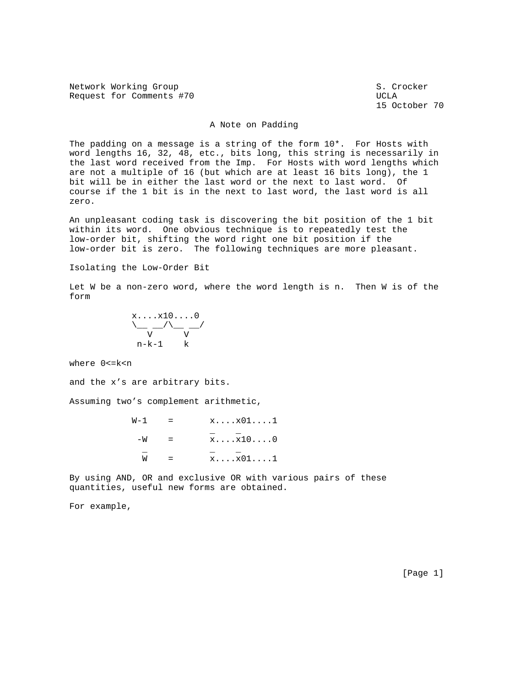Network Working Group S. Crocker Request for Comments #70 UCLA

15 October 70

## A Note on Padding

The padding on a message is a string of the form 10\*. For Hosts with word lengths 16, 32, 48, etc., bits long, this string is necessarily in the last word received from the Imp. For Hosts with word lengths which are not a multiple of 16 (but which are at least 16 bits long), the 1 bit will be in either the last word or the next to last word. Of course if the 1 bit is in the next to last word, the last word is all zero.

An unpleasant coding task is discovering the bit position of the 1 bit within its word. One obvious technique is to repeatedly test the low-order bit, shifting the word right one bit position if the low-order bit is zero. The following techniques are more pleasant.

Isolating the Low-Order Bit

Let W be a non-zero word, where the word length is n. Then W is of the form

$$
\begin{array}{c}\n x \dots x 1 0 \dots 0 \\
 \bigvee_{v} \frac{-}{v} \\
 n-k-1 \quad k\n\end{array}
$$

where 0<=k<n

and the x's are arbitrary bits.

Assuming two's complement arithmetic,

| W-1 | $x \ldots x01 \ldots 1$ |
|-----|-------------------------|
| — M | $x \ldots x10 \ldots 0$ |
| M   | $x \ldots x01 \ldots 1$ |

By using AND, OR and exclusive OR with various pairs of these quantities, useful new forms are obtained.

For example,

[Page 1]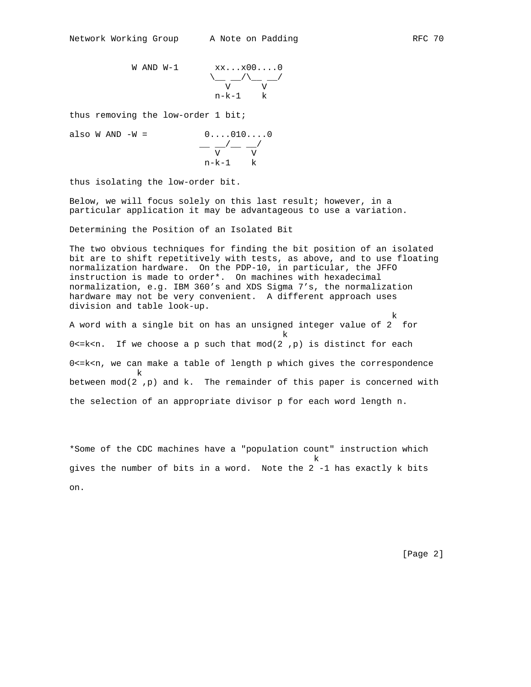W AND W-1  $x x \dots x 00 \dots 0$ 

$$
\begin{array}{ccc}\n & x & x & \ldots & 00 & \ldots & 0 \\
 & & & & & \\
 & & & & & \\
 & & & & & \\
 & & & & & \\
 & & & & & \\
 & & & & & \\
 & & & & & \\
 & & & & & & \\
 & & & & & & \\
 & & & & & & \\
 & & & & & & \\
 & & & & & & & \\
 & & & & & & & \\
 & & & & & & & \\
 & & & & & & & & \\
 & & & & & & & & \\
 & & & & & & & & & \\
 & & & & & & & & & \\
 & & & & & & & & & \\
 & & & & & & & & & \\
 & & & & & & & & & & \\
 & & & & & & & & & & \\
 & & & & & & & & & & & \\
 & & & & & & & & & & & & \\
 & & & & & & & & & & & & \\
 & & & & & & & & & & & & & \\
 & & & & & & & & & & & & & \\
 & & & & & & & & & & & & & \\
 & & & & &
$$

thus removing the low-order 1 bit;

also W AND -W = 
$$
\begin{array}{c}\n0 \dots 010 \dots 0 \\
\hline\nV \n\end{array}
$$
\n
$$
\begin{array}{c}\n\hline\n-\sqrt{2} \\
V \n\end{array}
$$
\n
$$
n-k-1
$$
\nk

thus isolating the low-order bit.

Below, we will focus solely on this last result; however, in a particular application it may be advantageous to use a variation.

Determining the Position of an Isolated Bit

The two obvious techniques for finding the bit position of an isolated bit are to shift repetitively with tests, as above, and to use floating normalization hardware. On the PDP-10, in particular, the JFFO instruction is made to order\*. On machines with hexadecimal normalization, e.g. IBM 360's and XDS Sigma 7's, the normalization hardware may not be very convenient. A different approach uses division and table look-up.

k bere den staat de beste beste beste beste beste beste beste beste beste beste beste beste beste beste beste<br>De beste beste beste beste beste beste beste beste beste beste beste beste beste beste beste beste beste beste A word with a single bit on has an unsigned integer value of 2 for k beste beste beste beste beste beste beste beste beste beste beste beste beste beste beste beste beste beste<br>De beste beste beste beste beste beste beste beste beste beste beste beste beste beste beste beste beste beste  $0$  <= k<n. If we choose a p such that  $mod(2, p)$  is distinct for each 0<=k<n, we can make a table of length p which gives the correspondence k between  $mod(2)$ , p) and k. The remainder of this paper is concerned with the selection of an appropriate divisor p for each word length n.

\*Some of the CDC machines have a "population count" instruction which k beste beste beste beste beste beste beste beste beste beste beste beste beste beste beste beste beste beste gives the number of bits in a word. Note the 2 -1 has exactly k bits on.

[Page 2]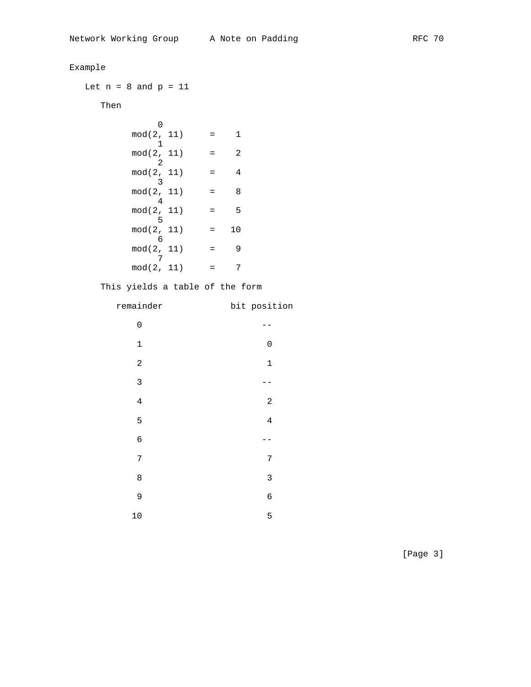| Example                                           |     |                  |              |  |
|---------------------------------------------------|-----|------------------|--------------|--|
| Let $n = 8$ and $p = 11$                          |     |                  |              |  |
| Then                                              |     |                  |              |  |
| 0<br>$mod(2, 11) = 1$                             |     |                  |              |  |
| 1<br>$mod(2, 11) =$<br>$\overline{\phantom{0}}^2$ |     | $\overline{c}$   |              |  |
| $mod(2, 11) =$<br>$\overline{\phantom{a}}$        |     | $\overline{4}$   |              |  |
| $mod(2, 11) =$<br>$\overline{4}$                  |     | 8                |              |  |
| $mod(2, 11)$<br>5                                 | $=$ | 5                |              |  |
| $mod(2, 11) =$<br>- 6                             |     | 10               |              |  |
| $mod(2, 11) =$<br>7                               |     | 9                |              |  |
| $mod(2, 11) =$                                    |     | $\boldsymbol{7}$ |              |  |
| This yields a table of the form                   |     |                  |              |  |
| remainder                                         |     |                  | bit position |  |
|                                                   |     |                  |              |  |
| $\mathsf{O}\xspace$                               |     |                  | --           |  |
| 1                                                 |     |                  | 0            |  |
| $\overline{c}$                                    |     |                  | $\mathbf 1$  |  |
| 3                                                 |     |                  | $- -$        |  |
| 4                                                 |     |                  | 2            |  |
| 5                                                 |     |                  | 4            |  |
| 6                                                 |     |                  | . –          |  |
| 7                                                 |     |                  | 7            |  |
| 8                                                 |     |                  | 3            |  |
| 9                                                 |     |                  | 6            |  |

[Page 3]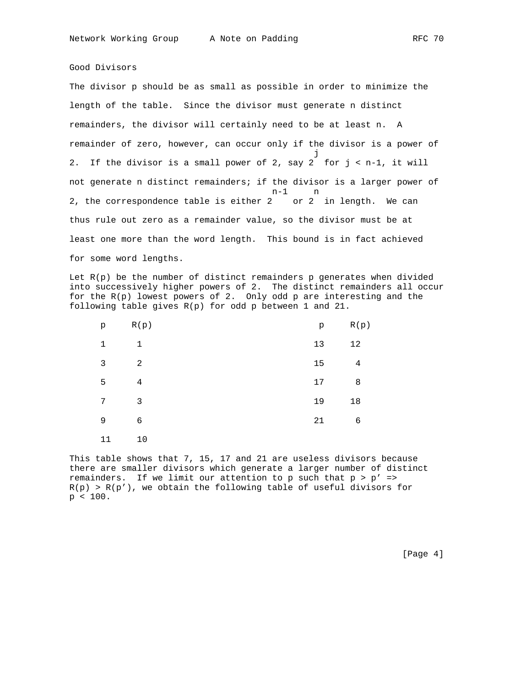## Good Divisors

The divisor p should be as small as possible in order to minimize the length of the table. Since the divisor must generate n distinct remainders, the divisor will certainly need to be at least n. A remainder of zero, however, can occur only if the divisor is a power of je poznata za obrazu za obrazu za obrazu za obrazu za obrazu za obrazu za obrazu za obrazu za obrazu za obrazu 2. If the divisor is a small power of 2, say 2 for  $j < n-1$ , it will not generate n distinct remainders; if the divisor is a larger power of n-1 n 2, the correspondence table is either 2 or 2 in length. We can thus rule out zero as a remainder value, so the divisor must be at least one more than the word length. This bound is in fact achieved for some word lengths.

Let  $R(p)$  be the number of distinct remainders  $p$  generates when divided into successively higher powers of 2. The distinct remainders all occur for the R(p) lowest powers of 2. Only odd p are interesting and the following table gives R(p) for odd p between 1 and 21.

| p            | R(p)           | p  | R(p) |
|--------------|----------------|----|------|
| $\mathbf{1}$ | $\mathbf 1$    | 13 | 12   |
| 3            | 2              | 15 | 4    |
| 5            | $\sqrt{4}$     | 17 | 8    |
| 7            | $\overline{3}$ | 19 | 18   |
| 9            | $\epsilon$     | 21 | 6    |
| 11           | 10             |    |      |

This table shows that 7, 15, 17 and 21 are useless divisors because there are smaller divisors which generate a larger number of distinct remainders. If we limit our attention to p such that  $p > p'$  =>  $R(p) > R(p')$ , we obtain the following table of useful divisors for p < 100.

[Page 4]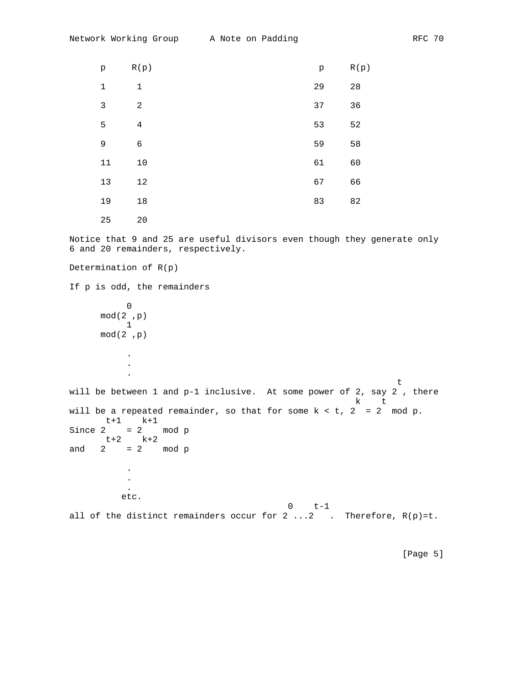| p            | R(p)           | p  | R(p) |
|--------------|----------------|----|------|
| $\mathbf 1$  | $\mathbf 1$    | 29 | 28   |
| $\mathbf{3}$ | $\overline{a}$ | 37 | 36   |
| 5            | $\bf 4$        | 53 | 52   |
| 9            | 6              | 59 | 58   |
| 11           | $10$           | 61 | 60   |
| 13           | 12             | 67 | 66   |
| 19           | $18\,$         | 83 | 82   |
| 25           | 20             |    |      |

Notice that 9 and 25 are useful divisors even though they generate only 6 and 20 remainders, respectively.

Determination of R(p) If p is odd, the remainders  $\overline{0}$  mod(2 ,p) 1 mod(2 ,p) . . . the contract of the contract of the contract of the contract of the contract of the contract of the contract of will be between 1 and p-1 inclusive. At some power of 2, say 2 , there k t will be a repeated remainder, so that for some  $k < t$ ,  $2 = 2 \mod p$ . t+1 k+1 Since  $2 = 2$  mod p  $t+2$  k+2 and  $2 = 2$  mod p . . . etc. 0 t-1 all of the distinct remainders occur for  $2 \ldots 2$  . Therefore,  $R(p)=t$ .

[Page 5]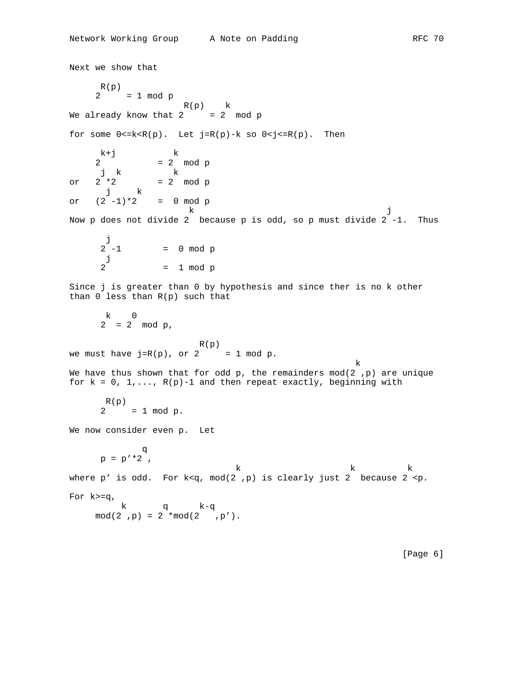```
Next we show that
        R(p)2 = 1 \mod p R(p) k
We already know that 2 = 2 mod p
for some 0 < = k < R(p). Let j=R(p)-k so 0 < j < = R(p). Then
       k+j k \begin{array}{ccc} -2 & -2 \end{array}2 = 2 mod p<br>
j k \frac{1}{2} mod p
j k k
or 2 * 2 = 2 \mod p j k
or (2 -1)*2 = 0 mod p
k diagnosis of the state of the state of the state of the state of the state of the state of the state of the state of the state of the state of the state of the state of the state of the state of the state of the state of
Now p does not divide 2 because p is odd, so p must divide 2 -1. Thus
        j<br>2 -1
                   = 0 mod p
         j
         2 = 1 mod p
Since j is greater than 0 by hypothesis and since ther is no k other
than 0 less than R(p) such that
         k 0
         2 = 2 mod p,
                                   R(p)we must have j=R(p), or 2 = 1 \mod p.
k beste beste beste beste beste beste beste beste beste beste beste beste beste beste beste beste beste beste<br>De beste beste beste beste beste beste beste beste beste beste beste beste beste beste beste beste beste beste
We have thus shown that for odd p, the remainders mod(2 ,p) are unique
for k = 0, 1, \ldots, R(p)-1 and then repeat exactly, beginning with
         R(p) 2 = 1 mod p.
We now consider even p. Let
<u>distribution of the state of the state of the state of the state of the state of the state of the state of the state of the state of the state of the state of the state of the state of the state of the state of the state </u>
p = p' * 2k k k
where p' is odd. For k < q, mod(2, p) is clearly just 2 because 2 <p.
For k>=q,
              k q k-q
      mod(2, p) = 2 * mod(2, p').
```
[Page 6]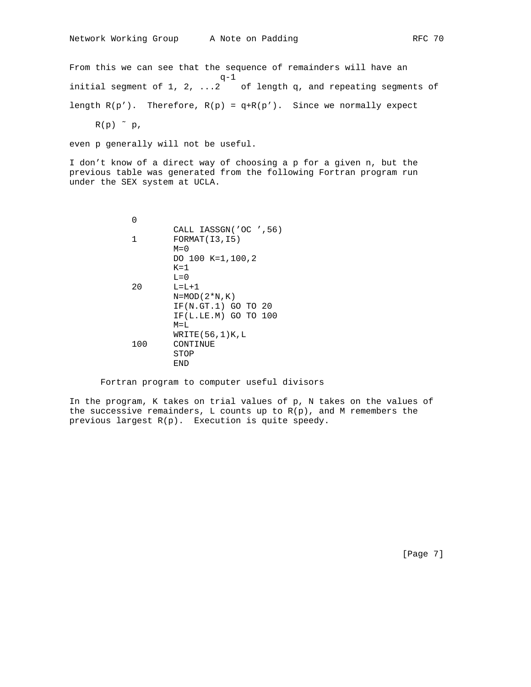From this we can see that the sequence of remainders will have an  $q-1$ initial segment of 1, 2, ...2 of length q, and repeating segments of length  $R(p')$ . Therefore,  $R(p) = q + R(p')$ . Since we normally expect

 $R(p)$   $\sim$   $p$ ,

even p generally will not be useful.

I don't know of a direct way of choosing a p for a given n, but the previous table was generated from the following Fortran program run under the SEX system at UCLA.

 0 CALL IASSGN('OC ',56) 1 FORMAT(I3,I5) M=0 DO 100 K=1,100,2 K=1 L=0 20 L=L+1 N=MOD(2\*N,K) IF(N.GT.1) GO TO 20 IF(L.LE.M) GO TO 100 M=L WRITE(56,1)K,L 100 CONTINUE STOP END

## Fortran program to computer useful divisors

In the program, K takes on trial values of p, N takes on the values of the successive remainders, L counts up to  $R(p)$ , and M remembers the previous largest R(p). Execution is quite speedy.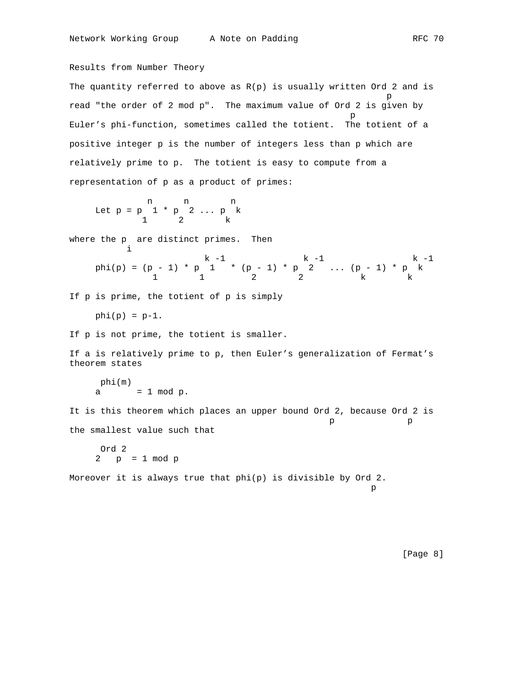Results from Number Theory The quantity referred to above as  $R(p)$  is usually written Ord 2 and is per control de la propieta de la propieta de la propieta de la propieta de la propieta de la propieta de la pr<br>Personal de la propieta de la propieta de la propieta de la propieta de la propieta de la propieta de la propi read "the order of 2 mod p". The maximum value of Ord 2 is given by p and the state of the state of the state of the state of the state of the state of the state of the state of the state of the state of the state of the state of the state of the state of the state of the state of the stat Euler's phi-function, sometimes called the totient. The totient of a positive integer p is the number of integers less than p which are relatively prime to p. The totient is easy to compute from a representation of p as a product of primes: n n n Let  $p = p \ 1 * p \ 2 ... p$  k 1 2 k where the p are distinct primes. Then i  $k -1$  k  $-1$  k  $-1$ phi(p) =  $(p - 1) * p 1 * (p - 1) * p 2 ... (p - 1) * p k$ 1 1 2 2 k k If p is prime, the totient of p is simply  $phi(p) = p-1$ . If p is not prime, the totient is smaller. If a is relatively prime to p, then Euler's generalization of Fermat's theorem states phi(m)  $a = 1 \mod p$ . It is this theorem which places an upper bound Ord 2, because Ord 2 is p p the smallest value such that Ord 2 2 p = 1 mod p

Moreover it is always true that phi(p) is divisible by Ord 2. per control de la propieta de la propieta de la propieta de la propieta de la propieta de la propieta de la pr<br>Personal de la propieta de la propieta de la propieta de la propieta de la propieta de la propieta de la propi

[Page 8]